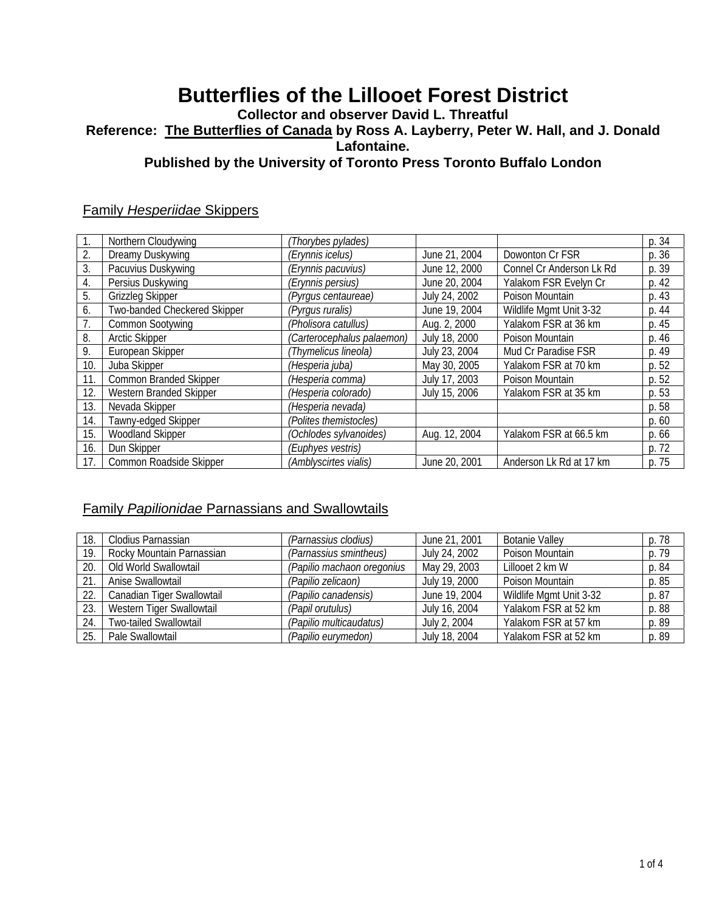# **Butterflies of the Lillooet Forest District**

#### **Collector and observer David L. Threatful Reference: The Butterflies of Canada by Ross A. Layberry, Peter W. Hall, and J. Donald Lafontaine. Published by the University of Toronto Press Toronto Buffalo London**

#### Family *Hesperiidae* Skippers

|     | Northern Cloudywing           | (Thorybes pylades)         |               |                          | p. 34 |
|-----|-------------------------------|----------------------------|---------------|--------------------------|-------|
| 2.  | Dreamy Duskywing              | (Erynnis icelus)           | June 21, 2004 | Dowonton Cr FSR          | p. 36 |
| 3.  | Pacuvius Duskywing            | (Erynnis pacuvius)         | June 12, 2000 | Connel Cr Anderson Lk Rd | p. 39 |
| 4.  | Persius Duskywing             | (Erynnis persius)          | June 20, 2004 | Yalakom FSR Evelyn Cr    | p. 42 |
| 5.  | <b>Grizzleg Skipper</b>       | (Pyrgus centaureae)        | July 24, 2002 | Poison Mountain          | p. 43 |
| 6.  | Two-banded Checkered Skipper  | (Pyrgus ruralis)           | June 19, 2004 | Wildlife Mgmt Unit 3-32  | p. 44 |
|     | <b>Common Sootywing</b>       | (Pholisora catullus)       | Aug. 2, 2000  | Yalakom FSR at 36 km     | p. 45 |
| 8.  | <b>Arctic Skipper</b>         | (Carterocephalus palaemon) | July 18, 2000 | Poison Mountain          | p. 46 |
| 9.  | European Skipper              | (Thymelicus lineola)       | July 23, 2004 | Mud Cr Paradise FSR      | p. 49 |
| 10. | Juba Skipper                  | (Hesperia juba)            | May 30, 2005  | Yalakom FSR at 70 km     | p. 52 |
| 11. | <b>Common Branded Skipper</b> | (Hesperia comma)           | July 17, 2003 | Poison Mountain          | p. 52 |
| 12. | Western Branded Skipper       | (Hesperia colorado)        | July 15, 2006 | Yalakom FSR at 35 km     | p. 53 |
| 13. | Nevada Skipper                | (Hesperia nevada)          |               |                          | p. 58 |
| 14. | Tawny-edged Skipper           | (Polites themistocles)     |               |                          | p.60  |
| 15. | <b>Woodland Skipper</b>       | (Ochlodes sylvanoides)     | Aug. 12, 2004 | Yalakom FSR at 66.5 km   | p. 66 |
| 16. | Dun Skipper                   | (Euphyes vestris)          |               |                          | p. 72 |
| 17. | Common Roadside Skipper       | (Amblyscirtes vialis)      | June 20, 2001 | Anderson Lk Rd at 17 km  | p. 75 |

### Family *Papilionidae* Parnassians and Swallowtails

| 18. | Clodius Parnassian            | (Parnassius clodius)       | June 21, 2001 | <b>Botanie Valley</b>   | p. 78 |
|-----|-------------------------------|----------------------------|---------------|-------------------------|-------|
| 19. | Rocky Mountain Parnassian     | (Parnassius smintheus)     | July 24, 2002 | Poison Mountain         | p. 79 |
| 20. | Old World Swallowtail         | (Papilio machaon oregonius | May 29, 2003  | Lillooet 2 km W         | p. 84 |
| 21  | Anise Swallowtail             | (Papilio zelicaon)         | July 19, 2000 | Poison Mountain         | p. 85 |
| 22. | Canadian Tiger Swallowtail    | (Papilio canadensis)       | June 19, 2004 | Wildlife Mgmt Unit 3-32 | p. 87 |
| 23. | Western Tiger Swallowtail     | (Papil orutulus)           | July 16, 2004 | Yalakom FSR at 52 km    | p. 88 |
| 24  | <b>Two-tailed Swallowtail</b> | (Papilio multicaudatus)    | July 2, 2004  | Yalakom FSR at 57 km    | p. 89 |
| 25. | Pale Swallowtail              | (Papilio eurymedon)        | July 18, 2004 | Yalakom FSR at 52 km    | p. 89 |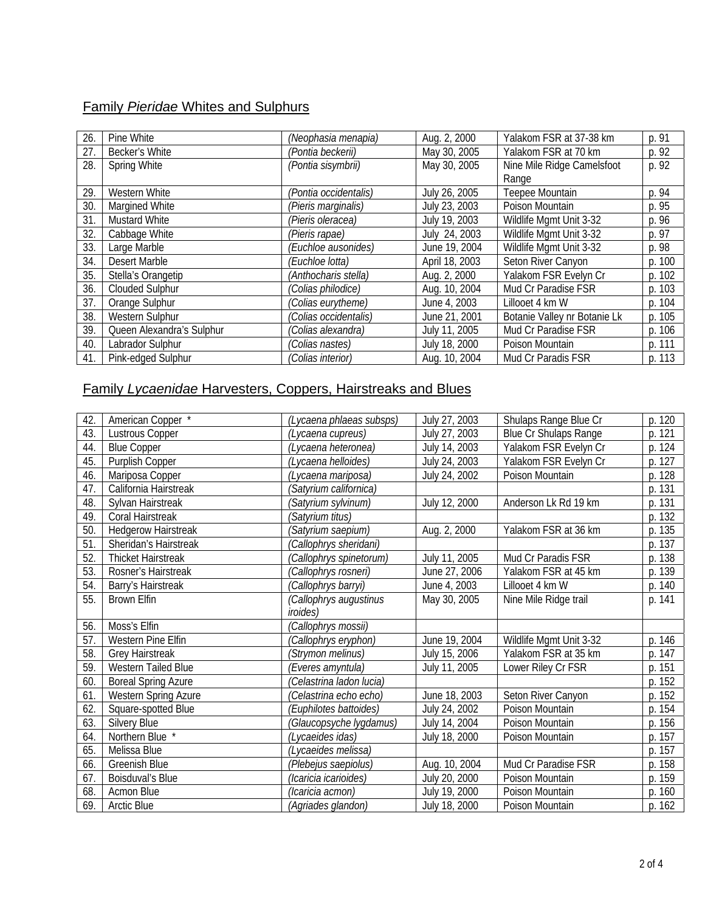## Family *Pieridae* Whites and Sulphurs

| 26. | Pine White                | (Neophasia menapia)   | Aug. 2, 2000   | Yalakom FSR at 37-38 km      | p. 91  |
|-----|---------------------------|-----------------------|----------------|------------------------------|--------|
| 27. | Becker's White            | (Pontia beckerii)     | May 30, 2005   | Yalakom FSR at 70 km         | p. 92  |
| 28. | <b>Spring White</b>       | (Pontia sisymbrii)    | May 30, 2005   | Nine Mile Ridge Camelsfoot   | p. 92  |
|     |                           |                       |                | Range                        |        |
| 29. | Western White             | (Pontia occidentalis) | July 26, 2005  | Teepee Mountain              | p. 94  |
| 30. | Margined White            | (Pieris marginalis)   | July 23, 2003  | Poison Mountain              | p. 95  |
| 31. | <b>Mustard White</b>      | (Pieris oleracea)     | July 19, 2003  | Wildlife Mgmt Unit 3-32      | p. 96  |
| 32. | Cabbage White             | (Pieris rapae)        | July 24, 2003  | Wildlife Mgmt Unit 3-32      | p. 97  |
| 33. | Large Marble              | (Euchloe ausonides)   | June 19, 2004  | Wildlife Mgmt Unit 3-32      | p. 98  |
| 34. | Desert Marble             | (Euchloe lotta)       | April 18, 2003 | Seton River Canyon           | p. 100 |
| 35. | Stella's Orangetip        | (Anthocharis stella)  | Aug. 2, 2000   | Yalakom FSR Evelyn Cr        | p. 102 |
| 36. | <b>Clouded Sulphur</b>    | (Colias philodice)    | Aug. 10, 2004  | Mud Cr Paradise FSR          | p. 103 |
| 37. | Orange Sulphur            | (Colias eurytheme)    | June 4, 2003   | Lillooet 4 km W              | p. 104 |
| 38. | Western Sulphur           | (Colias occidentalis) | June 21, 2001  | Botanie Valley nr Botanie Lk | p. 105 |
| 39. | Queen Alexandra's Sulphur | (Colias alexandra)    | July 11, 2005  | Mud Cr Paradise FSR          | p. 106 |
| 40. | Labrador Sulphur          | (Colias nastes)       | July 18, 2000  | Poison Mountain              | p. 111 |
| 41. | Pink-edged Sulphur        | (Colias interior)     | Aug. 10, 2004  | Mud Cr Paradis FSR           | p. 113 |

# Family *Lycaenidae* Harvesters, Coppers, Hairstreaks and Blues

| 42. | American Copper *          | (Lycaena phlaeas subsps)       | July 27, 2003 | Shulaps Range Blue Cr        | p. 120 |
|-----|----------------------------|--------------------------------|---------------|------------------------------|--------|
| 43. | <b>Lustrous Copper</b>     | (Lycaena cupreus)              | July 27, 2003 | <b>Blue Cr Shulaps Range</b> | p. 121 |
| 44. | <b>Blue Copper</b>         | (Lycaena heteronea)            | July 14, 2003 | Yalakom FSR Evelyn Cr        | p. 124 |
| 45. | Purplish Copper            | (Lycaena helloides)            | July 24, 2003 | Yalakom FSR Evelyn Cr        | p. 127 |
| 46  | Mariposa Copper            | (Lycaena mariposa)             | July 24, 2002 | Poison Mountain              | p. 128 |
| 47. | California Hairstreak      | (Satyrium californica)         |               |                              | p. 131 |
| 48. | Sylvan Hairstreak          | (Satyrium sylvinum)            | July 12, 2000 | Anderson Lk Rd 19 km         | p. 131 |
| 49. | Coral Hairstreak           | (Satyrium titus)               |               |                              | p. 132 |
| 50  | <b>Hedgerow Hairstreak</b> | (Satyrium saepium)             | Aug. 2, 2000  | Yalakom FSR at 36 km         | p. 135 |
| 51. | Sheridan's Hairstreak      | (Callophrys sheridani)         |               |                              | p. 137 |
| 52. | <b>Thicket Hairstreak</b>  | (Callophrys spinetorum)        | July 11, 2005 | Mud Cr Paradis FSR           | p. 138 |
| 53. | Rosner's Hairstreak        | (Callophrys rosneri)           | June 27, 2006 | Yalakom FSR at 45 km         | p. 139 |
| 54. | Barry's Hairstreak         | (Callophrys barryi)            | June 4, 2003  | Lillooet 4 km W              | p. 140 |
| 55. | <b>Brown Elfin</b>         | (Callophrys augustinus         | May 30, 2005  | Nine Mile Ridge trail        | p. 141 |
|     |                            | <i>iroides</i> )               |               |                              |        |
| 56. | Moss's Elfin               | 'Callophrys mossii)            |               |                              |        |
| 57. | Western Pine Elfin         | (Callophrys eryphon)           | June 19, 2004 | Wildlife Mgmt Unit 3-32      | p. 146 |
| 58. | <b>Grey Hairstreak</b>     | (Strymon melinus)              | July 15, 2006 | Yalakom FSR at 35 km         | p. 147 |
| 59. | <b>Western Tailed Blue</b> | (Everes amyntula)              | July 11, 2005 | Lower Riley Cr FSR           | p. 151 |
| 60. | <b>Boreal Spring Azure</b> | 'Celastrina ladon lucia)       |               |                              | p. 152 |
| 61. | Western Spring Azure       | 'Celastrina echo echo)         | June 18, 2003 | Seton River Canyon           | p. 152 |
| 62. | Square-spotted Blue        | (Euphilotes battoides)         | July 24, 2002 | Poison Mountain              | p. 154 |
| 63. | Silvery Blue               | <i>'Glaucopsyche lygdamus)</i> | July 14, 2004 | Poison Mountain              | p. 156 |
| 64. | Northern Blue *            | (Lycaeides idas)               | July 18, 2000 | Poison Mountain              | p. 157 |
| 65. | Melissa Blue               | (Lycaeides melissa)            |               |                              | p. 157 |
| 66. | Greenish Blue              | (Plebejus saepiolus)           | Aug. 10, 2004 | Mud Cr Paradise FSR          | p. 158 |
| 67. | Boisduval's Blue           | (Icaricia icarioides)          | July 20, 2000 | Poison Mountain              | p. 159 |
| 68. | Acmon Blue                 | (Icaricia acmon)               | July 19, 2000 | Poison Mountain              | p. 160 |
| 69. | <b>Arctic Blue</b>         | (Agriades glandon)             | July 18, 2000 | Poison Mountain              | p. 162 |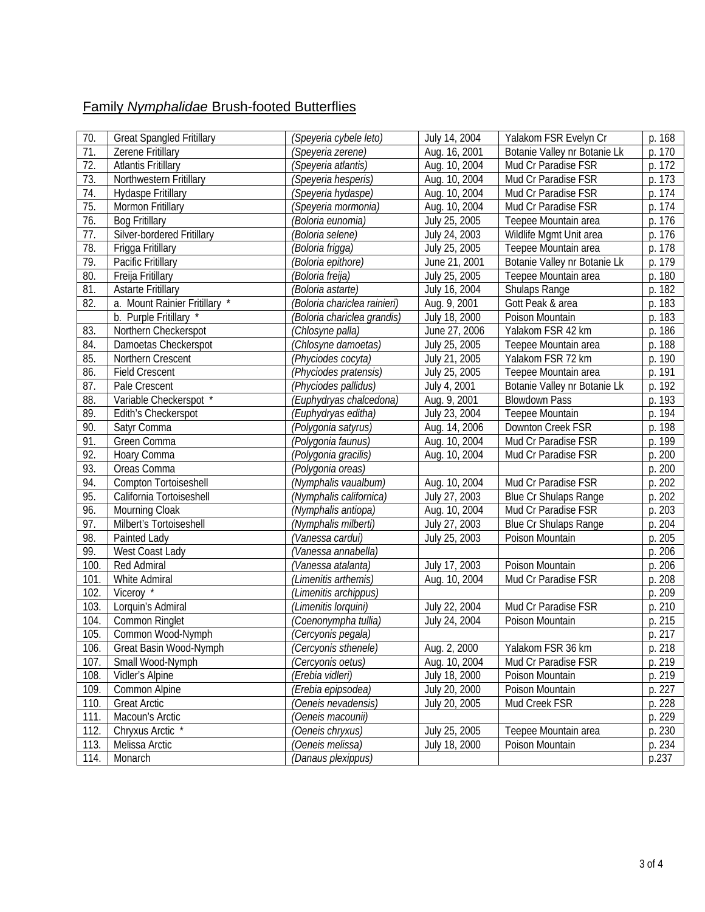## Family *Nymphalidae* Brush-footed Butterflies

|            |                                                       |                                            |                                | Yalakom FSR Evelyn Cr        |                  |
|------------|-------------------------------------------------------|--------------------------------------------|--------------------------------|------------------------------|------------------|
| 70.<br>71. | <b>Great Spangled Fritillary</b><br>Zerene Fritillary | (Speyeria cybele leto)                     | July 14, 2004                  | Botanie Valley nr Botanie Lk | p. 168<br>p. 170 |
| 72.        |                                                       | (Speyeria zerene)                          | Aug. 16, 2001                  |                              | p. 172           |
|            | <b>Atlantis Fritillary</b>                            | (Speyeria atlantis)                        | Aug. 10, 2004                  | Mud Cr Paradise FSR          |                  |
| 73.        | Northwestern Fritillary                               | (Speyeria hesperis)                        | Aug. 10, 2004                  | Mud Cr Paradise FSR          | p. 173           |
| 74.        | Hydaspe Fritillary                                    | (Speyeria hydaspe)                         | Aug. 10, 2004                  | Mud Cr Paradise FSR          | p. 174           |
| 75.        | Mormon Fritillary                                     | (Speyeria mormonia)                        | Aug. 10, 2004                  | Mud Cr Paradise FSR          | p. 174           |
| 76.        | <b>Bog Fritillary</b>                                 | (Boloria eunomia)                          | July 25, 2005                  | Teepee Mountain area         | p. 176           |
| 77.        | Silver-bordered Fritillary                            | (Boloria selene)                           | July 24, 2003                  | Wildlife Mgmt Unit area      | p. 176           |
| 78.        | Frigga Fritillary                                     | (Boloria frigga)                           | July 25, 2005                  | Teepee Mountain area         | p. 178           |
| 79.        | Pacific Fritillary                                    | (Boloria epithore)                         | June 21, 2001                  | Botanie Valley nr Botanie Lk | p. 179           |
| 80.        | Freija Fritillary                                     | (Boloria freija)                           | July 25, 2005                  | Teepee Mountain area         | p. 180           |
| 81.        | <b>Astarte Fritillary</b>                             | (Boloria astarte)                          | July 16, 2004                  | Shulaps Range                | p. 182           |
| 82.        | a. Mount Rainier Fritillary *                         | (Boloria chariclea rainieri)               | Aug. 9, 2001                   | Gott Peak & area             | p. 183           |
|            | b. Purple Fritillary *                                | (Boloria chariclea grandis)                | July 18, 2000                  | Poison Mountain              | p. 183           |
| 83.        | Northern Checkerspot                                  | (Chlosyne palla)                           | June 27, 2006                  | Yalakom FSR 42 km            | p. 186           |
| 84.        | Damoetas Checkerspot                                  | (Chlosyne damoetas)                        | July 25, 2005                  | Teepee Mountain area         | p. 188           |
| 85.        | Northern Crescent                                     | (Phyciodes cocyta)                         | July 21, 2005                  | Yalakom FSR 72 km            | p. 190           |
| 86.        | <b>Field Crescent</b>                                 | (Phyciodes pratensis)                      | July 25, 2005                  | Teepee Mountain area         | p. 191           |
| 87.        | Pale Crescent                                         | (Phyciodes pallidus)                       | July 4, 2001                   | Botanie Valley nr Botanie Lk | p. 192           |
| 88.        | Variable Checkerspot *                                | (Euphydryas chalcedona)                    | Aug. 9, 2001                   | <b>Blowdown Pass</b>         | p. 193           |
| 89.        | Edith's Checkerspot                                   | (Euphydryas editha)                        | July 23, 2004                  | Teepee Mountain              | p. 194           |
| 90.        | Satyr Comma                                           | (Polygonia satyrus)                        | Aug. 14, 2006                  | Downton Creek FSR            | p. 198           |
| 91.        | Green Comma                                           | (Polygonia faunus)                         | Aug. 10, 2004                  | Mud Cr Paradise FSR          | p. 199           |
| 92.        | Hoary Comma                                           | (Polygonia gracilis)                       | Aug. 10, 2004                  | Mud Cr Paradise FSR          | p. 200           |
| 93.        | Oreas Comma                                           | (Polygonia oreas)                          |                                |                              | p. 200           |
| 94.        | Compton Tortoiseshell                                 | (Nymphalis vaualbum)                       | Aug. 10, 2004                  | Mud Cr Paradise FSR          | p. 202           |
| 95.        | California Tortoiseshell                              | (Nymphalis californica)                    | July 27, 2003                  | <b>Blue Cr Shulaps Range</b> | p. 202           |
| 96.        | Mourning Cloak                                        | (Nymphalis antiopa)                        | Aug. 10, 2004                  | Mud Cr Paradise FSR          | p. 203           |
| 97.        | Milbert's Tortoiseshell                               | (Nymphalis milberti)                       | July 27, 2003                  | <b>Blue Cr Shulaps Range</b> | p. 204           |
| 98.        | Painted Lady                                          | (Vanessa cardui)                           | July 25, 2003                  | Poison Mountain              | p. 205           |
| 99.        | West Coast Lady                                       | (Vanessa annabella)                        |                                |                              | p. 206           |
| 100        |                                                       |                                            |                                | Poison Mountain              | p. 206           |
| 101        | Red Admiral                                           | (Vanessa atalanta)<br>(Limenitis arthemis) | July 17, 2003<br>Aug. 10, 2004 | Mud Cr Paradise FSR          | p. 208           |
|            | White Admiral                                         |                                            |                                |                              |                  |
| 102        | Viceroy *                                             | (Limenitis archippus)                      |                                |                              | p. 209           |
| 103.       | Lorquin's Admiral                                     | (Limenitis lorquini)                       | July 22, 2004                  | Mud Cr Paradise FSR          | p. 210           |
| 104.       | Common Ringlet                                        | (Coenonympha tullia)                       | July 24, 2004                  | Poison Mountain              | p. 215           |
| 105.       | Common Wood-Nymph                                     | (Cercyonis pegala)                         |                                |                              | p. 217           |
| 106.       | Great Basin Wood-Nymph                                | (Cercyonis sthenele)                       | Aug. 2, 2000                   | Yalakom FSR 36 km            | p. 218           |
| 107.       | Small Wood-Nymph                                      | (Cercyonis oetus)                          | Aug. 10, 2004                  | Mud Cr Paradise FSR          | p. 219           |
| 108.       | Vidler's Alpine                                       | (Erebia vidleri)                           | July 18, 2000                  | Poison Mountain              | p. 219           |
| 109.       | Common Alpine                                         | (Erebia epipsodea)                         | July 20, 2000                  | Poison Mountain              | p. 227           |
| 110.       | <b>Great Arctic</b>                                   | (Oeneis nevadensis)                        | July 20, 2005                  | Mud Creek FSR                | p. 228           |
| 111.       | Macoun's Arctic                                       | 'Oeneis macounii)                          |                                |                              | p. 229           |
| 112.       | Chryxus Arctic <sup>*</sup>                           | 'Oeneis chryxus)                           | July 25, 2005                  | Teepee Mountain area         | p. 230           |
| 113.       | Melissa Arctic                                        | (Oeneis melissa)                           | July 18, 2000                  | Poison Mountain              | p. 234           |
| 114.       | Monarch                                               | (Danaus plexippus)                         |                                |                              | p.237            |